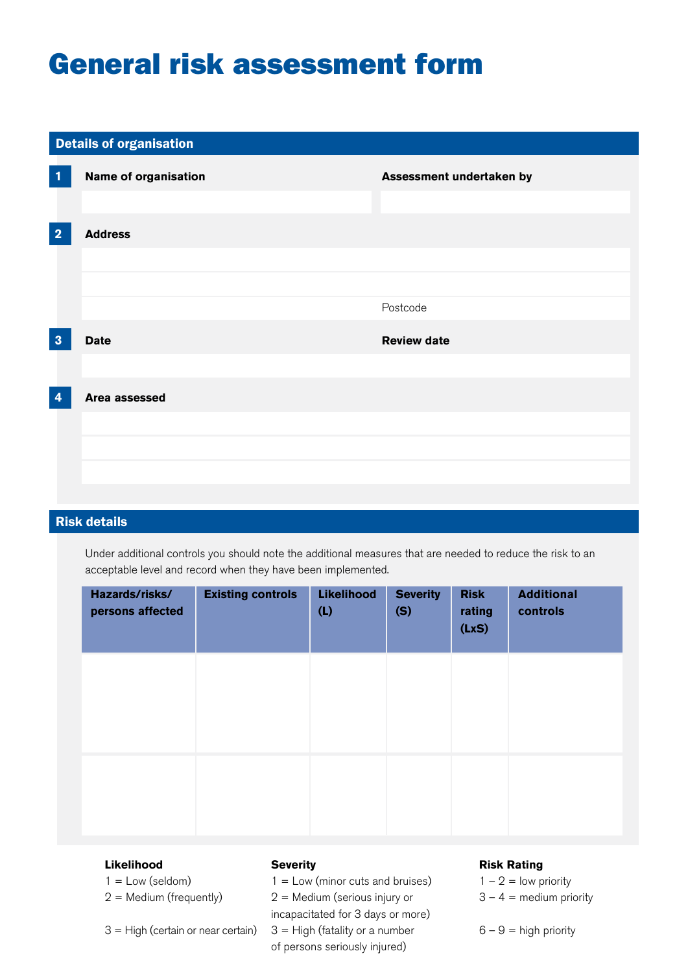## General risk assessment form

# **Name of organisation** Details of organisation **1 2 3**   $\boldsymbol{A}$ **Assessment undertaken by Address**  Postcode **Date Review date Area assessed**

### Risk details

Under additional controls you should note the additional measures that are needed to reduce the risk to an<br>acceptable level and record when they have been implemented. acceptable level and record when they have been implemented.

| Hazards/risks/<br>persons affected | <b>Existing controls</b> | Likelihood<br>(L) | <b>Severity</b><br>(S) | <b>Risk</b><br>rating<br>(LxS) | <b>Additional</b><br>controls |
|------------------------------------|--------------------------|-------------------|------------------------|--------------------------------|-------------------------------|
|                                    |                          |                   |                        |                                |                               |
|                                    |                          |                   |                        |                                |                               |
|                                    |                          |                   |                        |                                |                               |

### Likelihood **Severity**

 $1 =$  Low (seldom)  $1 =$  Low (minor cuts and bruises)  $1 - 2 =$  low priority  $2 =$  Medium (frequently) 2 = Medium (serious injury or  $3 - 4 =$  medium priority incapacitated for 3 days or more)  $3$  = High (certain or near certain)  $3$  = High (fatality or a number  $6 - 9$  = high priority of persons seriously injured)

#### **Severity** *A* **<b>Risk Rating** *Risk Rating*

 $1 - 2 =$  low priority  $3 - 4$  = medium priority

 $6 - 9 =$  high priority